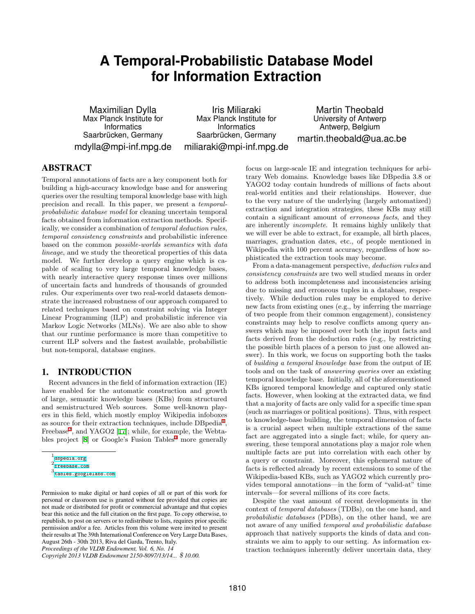# **A Temporal-Probabilistic Database Model for Information Extraction**

Maximilian Dylla Max Planck Institute for **Informatics** Saarbrücken, Germany mdylla@mpi-inf.mpg.de

Iris Miliaraki Max Planck Institute for **Informatics** Saarbrücken, Germany miliaraki@mpi-inf.mpg.de

Martin Theobald University of Antwerp Antwerp, Belgium martin.theobald@ua.ac.be

# ABSTRACT

Temporal annotations of facts are a key component both for building a high-accuracy knowledge base and for answering queries over the resulting temporal knowledge base with high precision and recall. In this paper, we present a *temporalprobabilistic database model* for cleaning uncertain temporal facts obtained from information extraction methods. Specifically, we consider a combination of *temporal deduction rules*, *temporal consistency constraints* and probabilistic inference based on the common *possible-worlds semantics* with *data lineage*, and we study the theoretical properties of this data model. We further develop a query engine which is capable of scaling to very large temporal knowledge bases, with nearly interactive query response times over millions of uncertain facts and hundreds of thousands of grounded rules. Our experiments over two real-world datasets demonstrate the increased robustness of our approach compared to related techniques based on constraint solving via Integer Linear Programming (ILP) and probabilistic inference via Markov Logic Networks (MLNs). We are also able to show that our runtime performance is more than competitive to current ILP solvers and the fastest available, probabilistic but non-temporal, database engines.

# 1. INTRODUCTION

Recent advances in the field of information extraction (IE) have enabled for the automatic construction and growth of large, semantic knowledge bases (KBs) from structured and semistructured Web sources. Some well-known players in this field, which mostly employ Wikipedia infoboxes as source for their extraction techniques, include  $DBpedia^1$ , Freebase<sup>2</sup>, and YAGO2 [[17\]](#page-11-0); while, for example, the Webta-bles project [[8](#page-11-1)] or Google's Fusion Tables<sup>3</sup> more generally focus on large-scale IE and integration techniques for arbitrary Web domains. Knowledge bases like DBpedia 3.8 or YAGO2 today contain hundreds of millions of facts about real-world entities and their relationships. However, due to the very nature of the underlying (largely automatized) extraction and integration strategies, these KBs may still contain a significant amount of *erroneous facts*, and they are inherently *incomplete*. It remains highly unlikely that we will ever be able to extract, for example, all birth places, marriages, graduation dates, etc., of people mentioned in Wikipedia with 100 percent accuracy, regardless of how sophisticated the extraction tools may become.

From a data-management perspective, *deduction rules* and *consistency constraints* are two well studied means in order to address both incompleteness and inconsistencies arising due to missing and erroneous tuples in a database, respectively. While deduction rules may be employed to derive new facts from existing ones (e.g., by inferring the marriage of two people from their common engagement), consistency constraints may help to resolve conflicts among query answers which may be imposed over both the input facts and facts derived from the deduction rules (e.g., by restricting the possible birth places of a person to just one allowed answer). In this work, we focus on supporting both the tasks of *building a temporal knowledge base* from the output of IE tools and on the task of *answering queries* over an existing temporal knowledge base. Initially, all of the aforementioned KBs ignored temporal knowledge and captured only static facts. However, when looking at the extracted data, we find that a majority of facts are only valid for a specific time span (such as marriages or political positions). Thus, with respect to knowledge-base building, the temporal dimension of facts is a crucial aspect when multiple extractions of the same fact are aggregated into a single fact; while, for query answering, these temporal annotations play a major role when multiple facts are put into correlation with each other by a query or constraint. Moreover, this ephemeral nature of facts is reflected already by recent extensions to some of the Wikipedia-based KBs, such as YAGO2 which currently provides temporal annotations—in the form of "valid-at" time intervals—for several millions of its core facts.

Despite the vast amount of recent developments in the context of *temporal databases* (TDBs), on the one hand, and *probabilistic databases* (PDBs), on the other hand, we are not aware of any unified *temporal and probabilistic database* approach that natively supports the kinds of data and constraints we aim to apply to our setting. As information extraction techniques inherently deliver uncertain data, they

 $^{\rm 1}$ <dbpedia.org>

 $^2$ <freebase.com>

 $^3$ <tables.googlelabs.com>

Permission to make digital or hard copies of all or part of this work for personal or classroom use is granted without fee provided that copies are not made or distributed for profit or commercial advantage and that copies bear this notice and the full citation on the first page. To copy otherwise, to republish, to post on servers or to redistribute to lists, requires prior specific permission and/or a fee. Articles from this volume were invited to present their results at The 39th International Conference on Very Large Data Bases, August 26th - 30th 2013, Riva del Garda, Trento, Italy.

*Proceedings of the VLDB Endowment, Vol. 6, No. 14*

*Copyright 2013 VLDB Endowment 2150-8097/13/14... \$ 10.00.*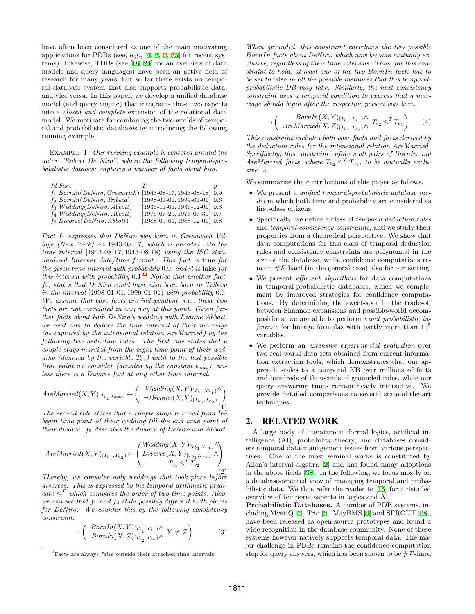have often been considered as one of the main motivating applications for PDBs (see, e.g., [[4](#page-11-2), [6,](#page-11-3) [7](#page-11-4), [35](#page-11-5)] for recent systems). Likewise, TDBs (see [\[18,](#page-11-6) [24](#page-11-7)] for an overview of data models and query languages) have been an active field of research for many years, but so far there exists no temporal database system that also supports probabilistic data, and vice versa. In this paper, we develop a unified database model (and query engine) that integrates these two aspects into a *closed and complete* extension of the relational data model. We motivate for combining the two worlds of temporal and probabilistic databases by introducing the following running example.

<span id="page-1-2"></span>Example 1. *Our running example is centered around the actor "Robert De Niro", where the following temporal-probabilistic database captures a number of facts about him.*

| Id Fact                               |                                 |  |
|---------------------------------------|---------------------------------|--|
| $f_1$ BornIn(DeNiro, Greenwich)       | $[1943-08-17, 1943-08-18)$ 0.9  |  |
| $f_2$ BornIn(DeNiro, Tribeca)         | $[1998-01-01, 1999-01-01]$ 0.6  |  |
| $f_3$ Wedding (DeNiro, Abbott)        | $[1936-11-01, 1936-12-01]$ 0.3  |  |
| $f_4$ Wedding (DeNiro, Abbott)        | $[1976-07-29, 1976-07-30, 0.7]$ |  |
| $f_5 \text{ Divorce}(DeNiro, Abbott)$ | $[1988-09-01, 1988-12-01]$ 0.8  |  |

*Fact f*<sup>1</sup> *expresses that DeNiro was born in Greenwich Village (New York) on* 1943*-*08*-*17*, which is encoded into the time interval* [1943*-*08*-*17*,* 1943*-*08*-*18) *using the ISO standardized Internet date/time format. This fact is* true *for the given time interval with probability* 0*.*9*, and it is* false *for this interval with probability* 0*.*1*.* 4 *Notice that another fact, f*2*, states that DeNiro could have also been born in Tribeca in the interval* [1998*-*01*-*01*,* 1999*-*01*-*01) *with probability* 0*.*6*. We assume that base facts are independent, i.e., these two facts are not correlated in any way at this point. Given further facts about both DeNiro's wedding with Dianne Abbott, we next aim to deduce the time interval of their marriage (as captured by the intensional relation AreMarried) by the following two deduction rules. The first rule states that a couple stays married from the begin time point of their wedding (denoted by the variable*  $T_{b_1}$ ) *until to the last possible time point we consider (denoted by the constant tmax ), unless there is a Divorce fact at any other time interval.*

<span id="page-1-0"></span>
$$
AreMarried(X, Y)_{[T_{b_1}, t_{max})} \leftarrow \left( \begin{array}{c} Wedding(X, Y)_{[T_{b_1}, T_{e_1})} \land \\ \neg Divorce(X, Y)_{[T_{b_2}, T_{e_2})} \end{array} \right)
$$

(1) *The second rule states that a couple stays married from the begin time point of their wedding till the end time point of their divorce. f*<sup>5</sup> *describes the divorce of DeNiro and Abbott.*

<span id="page-1-1"></span>
$$
AreMarried(X, Y)_{[T_{b_1}, T_{e_2})} \leftarrow \begin{pmatrix} Wedding(X, Y)_{[T_{b_1}, T_{e_1})} \wedge \\ Divorce(X, Y)_{[T_{b_2}, T_{e_2})} \wedge \\ T_{e_1} \leq^T T_{b_2} \end{pmatrix}
$$

(2) *Thereby, we consider only weddings that took place before divorces. This is expressed by the temporal arithmetic predi-* $\text{rate} \leq^T \text{ which compares the order of two time points. Also,$ *we can see that f*<sup>1</sup> *and f*<sup>2</sup> *state possibly different birth places for DeNiro. We counter this by the following consistency constraint.*

<span id="page-1-3"></span>
$$
\neg \left( \begin{array}{c} BornIn(X,Y)_{[T_{b_1},T_{e_1})} \wedge Y \neq Z \\ BornIn(X,Z)_{[T_{b_2},T_{e_2})} \wedge Y \neq Z \end{array} \right) \tag{3}
$$

*When grounded, this constraint correlates the two possible BornIn facts about DeNiro, which now become mutually exclusive, regardless of their time intervals. Thus, for this constraint to hold, at least one of the two BornIn facts has to be set to* false *in all the possible instances that this temporalprobabilistic DB may take. Similarly, the next consistency constraint uses a temporal condition to express that a marriage should begin after the respective person was born.*

<span id="page-1-4"></span>
$$
\neg \left( \begin{array}{cc} BornIn(X,Y)_{[T_{b_1},T_{e_1})} \wedge T_{b_2} \leq^T T_{e_1} \\ AreaMarried(X,Z)_{[T_{b_2},T_{e_2})} \wedge T_{b_2} \leq^T T_{e_1} \end{array} \right) \tag{4}
$$

*This constraint includes both base facts and facts derived by the deduction rules for the intensional relation AreMarried . Specifically, this constraint enforces all pairs of BornIn and AreMarried facts, where*  $T_{b_2} \leq T_{e_1}$ , to be mutually exclu*sive. ⋄*

We summarize the contributions of this paper as follows.

- *•* We present a *unified temporal-probabilistic database model* in which both time and probability are considered as first-class citizens.
- *•* Specifically, we define a class of *temporal deduction rules* and *temporal consistency constraints*, and we study their properties from a theoretical perspective. We show that data computations for this class of temporal deduction rules and consistency constraints are polynomial in the size of the database, while confidence computations remain  $\#\mathcal{P}$ -hard (in the general case) also for our setting.
- *•* We present *efficient algorithms* for data computations in temporal-probabilistic databases, which we complement by improved strategies for confidence computations. By determining the sweet-spot in the trade-off between Shannon expansions and possible-world decompositions, we are able to perform *exact probabilistic inference* for lineage formulas with partly more than  $10^5$ variables.
- *•* We perform an *extensive experimental evaluation* over two real-world data sets obtained from current information extraction tools, which demonstrates that our approach scales to a temporal KB over millions of facts and hundreds of thousands of grounded rules, while our query answering times remain nearly interactive. We provide detailed comparisons to several state-of-the-art techniques.

# 2. RELATED WORK

A large body of literature in formal logics, artificial intelligence (AI), probability theory, and databases considers temporal data-management issues from various perspectives. One of the most seminal works is constituted by Allen's interval algebra [[2](#page-11-8)] and has found many adoptions in the above fields [\[38](#page-11-9)]. In the following, we focus mostly on a database-oriented view of managing temporal and probabilistic data. We thus refer the reader to [\[15\]](#page-11-10) for a detailed overview of temporal aspects in logics and AI.

**Probabilistic Databases.** A number of PDB systems, including MystiQ [\[7\]](#page-11-4), Trio [[6\]](#page-11-3), MayBMS [[4](#page-11-2)] and SPROUT [[28\]](#page-11-11), have been released as open-source prototypes and found a wide recognition in the database community. None of these systems however natively supports temporal data. The major challenge in PDBs remains the confidence computation step for query answers, which has been shown to be  $\#\mathcal{P}$ -hard

<sup>4</sup>Facts are always *false* outside their attached time intervals.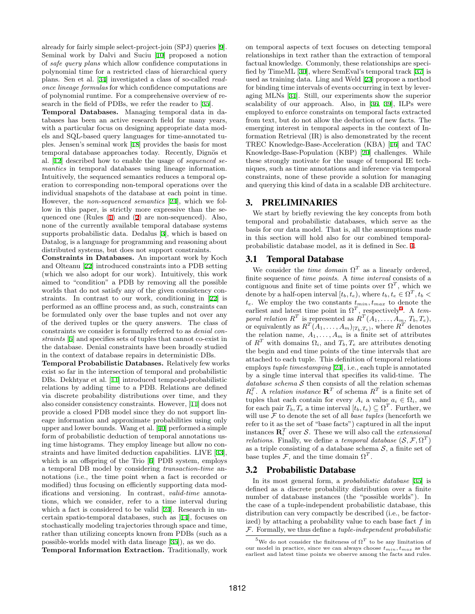already for fairly simple select-project-join (SPJ) queries [[9\]](#page-11-12). Seminal work by Dalvi and Suciu [[10\]](#page-11-13) proposed a notion of *safe query plans* which allow confidence computations in polynomial time for a restricted class of hierarchical query plans. Sen et al. [\[34\]](#page-11-14) investigated a class of so-called *readonce lineage formulas* for which confidence computations are of polynomial runtime. For a comprehensive overview of research in the field of PDBs, we refer the reader to [[35\]](#page-11-5).

**Temporal Databases.** Managing temporal data in databases has been an active research field for many years, with a particular focus on designing appropriate data models and SQL-based query languages for time-annotated tuples. Jensen's seminal work [[18](#page-11-6)] provides the basis for most temporal database approaches today. Recently, Dignös et al. [[12\]](#page-11-15) described how to enable the usage of *sequenced semantics* in temporal databases using lineage information. Intuitively, the sequenced semantics reduces a temporal operation to corresponding non-temporal operations over the individual snapshots of the database at each point in time. However, the *non-sequenced semantics* [[24](#page-11-7)], which we follow in this paper, is strictly more expressive than the sequenced one (Rules ([1](#page-1-0)) and ([2](#page-1-1)) are non-sequenced). Also, none of the currently available temporal database systems supports probabilistic data. Dedalus [[3\]](#page-11-16), which is based on Datalog, is a language for programming and reasoning about distributed systems, but does not support constraints.

**Constraints in Databases.** An important work by Koch and Olteanu [\[22](#page-11-17)] introduced constraints into a PDB setting (which we also adopt for our work). Intuitively, this work aimed to "condition" a PDB by removing all the possible worlds that do not satisfy any of the given consistency constraints. In contrast to our work, conditioning in [\[22\]](#page-11-17) is performed as an offline process and, as such, constraints can be formulated only over the base tuples and not over any of the derived tuples or the query answers. The class of constraints we consider is formally referred to as *denial constraints* [\[5\]](#page-11-18) and specifies sets of tuples that cannot co-exist in the database. Denial constraints have been broadly studied in the context of database repairs in deterministic DBs.

**Temporal Probabilistic Databases.** Relatively few works exist so far in the intersection of temporal and probabilistic DBs. Dekhtyar et al. [\[11\]](#page-11-19) introduced temporal-probabilistic relations by adding time to a PDB. Relations are defined via discrete probability distributions over time, and they also consider consistency constraints. However, [[11\]](#page-11-19) does not provide a closed PDB model since they do not support lineage information and approximate probabilities using only upper and lower bounds. Wang et al. [[40\]](#page-11-20) performed a simple form of probabilistic deduction of temporal annotations using time histograms. They employ lineage but allow no constraints and have limited deduction capabilities. LIVE [[33\]](#page-11-21), which is an offspring of the Trio [[6](#page-11-3)] PDB system, employs a temporal DB model by considering *transaction-time* annotations (i.e., the time point when a fact is recorded or modified) thus focusing on efficiently supporting data modifications and versioning. In contrast, *valid-time* annotations, which we consider, refer to a time interval during which a fact is considered to be valid [[24\]](#page-11-7). Research in uncertain spatio-temporal databases, such as [[14](#page-11-22)], focuses on stochastically modeling trajectories through space and time, rather than utilizing concepts known from PDBs (such as a possible-worlds model with data lineage [[35](#page-11-5)]), as we do.

**Temporal Information Extraction.** Traditionally, work

on temporal aspects of text focuses on detecting temporal relationships in text rather than the extraction of temporal factual knowledge. Commonly, these relationships are specified by TimeML [[30\]](#page-11-23), where SemEval's temporal track [[37\]](#page-11-24) is used as training data. Ling and Weld [\[23\]](#page-11-25) propose a method for binding time intervals of events occurring in text by leveraging MLNs [[31\]](#page-11-26). Still, our experiments show the superior scalability of our approach. Also, in [[36,](#page-11-27) [39](#page-11-28)], ILPs were employed to enforce constraints on temporal facts extracted from text, but do not allow the deduction of new facts. The emerging interest in temporal aspects in the context of Information Retrieval (IR) is also demonstrated by the recent TREC Knowledge-Base-Acceleration (KBA) [[16](#page-11-29)] and TAC Knowledge-Base-Population (KBP) [[20](#page-11-30)] challenges. While these strongly motivate for the usage of temporal IE techniques, such as time annotations and inference via temporal constraints, none of these provide a solution for managing and querying this kind of data in a scalable DB architecture.

# 3. PRELIMINARIES

We start by briefly reviewing the key concepts from both temporal and probabilistic databases, which serve as the basis for our data model. That is, all the assumptions made in this section will hold also for our combined temporalprobabilistic database model, as it is defined in Sec. [4.](#page-3-0)

# 3.1 Temporal Database

We consider the *time domain*  $\Omega^T$  as a linearly ordered, finite sequence of *time points*. A *time interval* consists of a contiguous and finite set of time points over  $\Omega^T$ , which we denote by a half-open interval  $[t_b, t_e)$ , where  $t_b, t_e \in \Omega^T, t_b$ *te*. We employ the two constants *tmin, tmax* to denote the earliest and latest time point in  $\Omega^T$ , respectively<sup>5</sup>. A *temporal relation*  $R^T$  is represented as  $R^T(A_1, \ldots, A_m, T_b, T_e)$ , or equivalently as  $R^{T}(A_1, \ldots, A_m)_{[T_b, T_e)}$ , where  $R^{T}$  denotes the relation name,  $A_1, \ldots, A_m$  is a finite set of attributes of  $R^T$  with domains  $\Omega_i$ , and  $T_b$ ,  $T_e$  are attributes denoting the begin and end time points of the time intervals that are attached to each tuple. This definition of temporal relations employs *tuple timestamping* [\[24\]](#page-11-7), i.e., each tuple is annotated by a single time interval that specifies its valid-time. The *database schema S* then consists of all the relation schemas  $R_i^T$ . A *relation instance*  $\mathbb{R}^T$  of schema  $R_i^T$  is a finite set of tuples that each contain for every  $A_i$  a value  $a_i \in \Omega_i$ , and for each pair  $T_b, T_e$  a time interval  $[t_b, t_e) \subseteq \Omega^T$ . Further, we will use *F* to denote the set of all *base tuples* (henceforth we refer to it as the set of "base facts") captured in all the input instances  $\mathbf{R}_i^T$  over *S*. These we will also call the *extensional relations.* Finally, we define a *temporal database*  $(S, \mathcal{F}, \Omega^T)$ as a triple consisting of a database schema *S*, a finite set of base tuples  $\mathcal{F}$ , and the time domain  $\Omega^T$ .

# 3.2 Probabilistic Database

In its most general form, a *probabilistic database* [[35](#page-11-5)] is defined as a discrete probability distribution over a finite number of database instances (the "possible worlds"). In the case of a tuple-independent probabilistic database, this distribution can very compactly be described (i.e., be factorized) by attaching a probability value to each base fact *f* in *F*. Formally, we thus define a *tuple-independent probabilistic*

 $5$ We do not consider the finiteness of  $\Omega^T$  to be any limitation of our model in practice, since we can always choose *tmin, tmax* as the earliest and latest time points we observe among the facts and rules.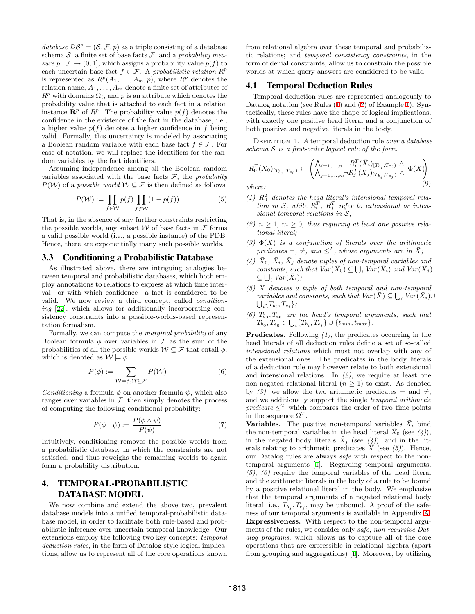*database*  $\mathcal{DB}^p = (\mathcal{S}, \mathcal{F}, p)$  as a triple consisting of a database schema *S*, a finite set of base facts *F*, and a *probability measure*  $p : \mathcal{F} \to (0, 1]$ , which assigns a probability value  $p(f)$  to each uncertain base fact  $f \in \mathcal{F}$ . A *probabilistic relation*  $R^p$ is represented as  $R^p(A_1, \ldots, A_m, p)$ , where  $R^p$  denotes the relation name,  $A_1, \ldots, A_m$  denote a finite set of attributes of  $R^p$  with domains  $\Omega_i$ , and *p* is an attribute which denotes the probability value that is attached to each fact in a relation instance  $\mathbb{R}^p$  of  $R^p$ . The probability value  $p(f)$  denotes the confidence in the existence of the fact in the database, i.e., a higher value  $p(f)$  denotes a higher confidence in  $f$  being valid. Formally, this uncertainty is modeled by associating a Boolean random variable with each base fact  $f \in \mathcal{F}$ . For ease of notation, we will replace the identifiers for the random variables by the fact identifiers.

Assuming independence among all the Boolean random variables associated with the base facts *F*, the *probability P*(*W*) of a *possible world*  $W \subseteq \mathcal{F}$  is then defined as follows.

$$
P(\mathcal{W}) := \prod_{f \in \mathcal{W}} p(f) \prod_{f \notin \mathcal{W}} (1 - p(f)) \tag{5}
$$

That is, in the absence of any further constraints restricting the possible worlds, any subset  $W$  of base facts in  $\mathcal F$  forms a valid possible world (i.e., a possible instance) of the PDB. Hence, there are exponentially many such possible worlds.

#### 3.3 Conditioning a Probabilistic Database

As illustrated above, there are intriguing analogies between temporal and probabilistic databases, which both employ annotations to relations to express at which time interval—or with which confidence—a fact is considered to be valid. We now review a third concept, called *conditioning* [\[22](#page-11-17)], which allows for additionally incorporating consistency constraints into a possible-worlds-based representation formalism.

Formally, we can compute the *marginal probability* of any Boolean formula  $\phi$  over variables in  $\mathcal F$  as the sum of the probabilities of all the possible worlds  $W \subseteq \mathcal{F}$  that entail  $\phi$ , which is denoted as  $\mathcal{W} \models \phi$ .

$$
P(\phi) := \sum_{\mathcal{W} \models \phi, \mathcal{W} \subseteq \mathcal{F}} P(\mathcal{W})
$$
 (6)

*Conditioning* a formula  $\phi$  on another formula  $\psi$ , which also ranges over variables in  $F$ , then simply denotes the process of computing the following conditional probability:

$$
P(\phi \mid \psi) := \frac{P(\phi \land \psi)}{P(\psi)}\tag{7}
$$

Intuitively, conditioning removes the possible worlds from a probabilistic database, in which the constraints are not satisfied, and thus reweighs the remaining worlds to again form a probability distribution.

# <span id="page-3-0"></span>4. TEMPORAL-PROBABILISTIC DATABASE MODEL

We now combine and extend the above two, prevalent database models into a unified temporal-probabilistic database model, in order to facilitate both rule-based and probabilistic inference over uncertain temporal knowledge. Our extensions employ the following two key concepts: *temporal deduction rules*, in the form of Datalog-style logical implications, allow us to represent all of the core operations known

from relational algebra over these temporal and probabilistic relations; and *temporal consistency constraints*, in the form of denial constraints, allow us to constrain the possible worlds at which query answers are considered to be valid.

# 4.1 Temporal Deduction Rules

Temporal deduction rules are represented analogously to Datalog notation (see Rules [\(1\)](#page-1-0) and ([2](#page-1-1)) of Example [1\)](#page-1-2). Syntactically, these rules have the shape of logical implications, with exactly one positive head literal and a conjunction of both positive and negative literals in the body.

<span id="page-3-1"></span>Definition 1. *A* temporal deduction rule *over a database schema S is a first-order logical rule of the form*

<span id="page-3-2"></span>
$$
R_0^T(\bar{X}_0)_{[T_{b_0},T_{e_0})} \leftarrow \left( \bigwedge_{j=1,\dots,m}^{n=1} R_j^T(\bar{X}_i)_{[T_{b_i},T_{e_i})} \wedge \Phi(\bar{X}) \right)
$$
  
where:  
(8)

- (1)  $R_0^T$  denotes the head literal's intensional temporal rela*tion in S*, while  $R_i^T$ ,  $R_j^T$  refer to extensional or inten*sional temporal relations in S;*
- *(2) n* ≥ 1*, m* ≥ 0*, thus requiring at least one positive relational literal;*
- $(3)$   $\Phi(\bar{X})$  *is a conjunction of literals over the arithmetic*  $predicates =, \neq, \text{ and } \leq^T, \text{ whose arguments are in } \bar{X};$
- $(4)$   $\bar{X}_0$ ,  $\bar{X}_i$ ,  $\bar{X}_j$  *denote tuples of non-temporal variables and constants, such that*  $Var(\bar{X}_0) \subseteq \bigcup_i Var(\bar{X}_i)$  *and*  $Var(\bar{X}_j)$  $\subseteq$  ∪<sub>*i*</sub> *Var*( $\bar{X}_i$ )*;*
- $(5)$   $\overline{X}$  *denotes a tuple of both temporal and non-temporal variables and constants, such that*  $Var(\bar{X}) \subseteq \bigcup_i Var(\bar{X}_i) \cup \bigcup_i \{T_{b_i}, T_{e_i}\};$  $_{i}$ {*T*<sub>*b*<sub>*i*</sub></sub>,*T*<sub>*e*<sub>*i*</sub>}*;*</sub>
- (6)  $T_{b_0}, T_{e_0}$  are the head's temporal arguments, such that  $T_{b_0}, T_{e_0} \in \bigcup_i \{T_{b_i}, T_{e_i}\} \cup \{t_{min}, t_{max}\}.$

**Predicates.** Following *(1)*, the predicates occurring in the head literals of all deduction rules define a set of so-called *intensional relations* which must not overlap with any of the extensional ones. The predicates in the body literals of a deduction rule may however relate to both extensional and intensional relations. In *(2)*, we require at least one non-negated relational literal  $(n \geq 1)$  to exist. As denoted by *(3)*, we allow the two arithmetic predicates = and  $\neq$ , and we additionally support the single *temporal arithmetic predicate*  $\leq^T$  which compares the order of two time points in the sequence  $\Omega^T$ .

**Variables.** The positive non-temporal variables  $\bar{X}_i$  bind the non-temporal variables in the head literal  $\bar{X}_0$  (see  $(4)$ ), in the negated body literals  $\bar{X}_j$  (see  $(4)$ ), and in the literals relating to arithmetic predicates  $\bar{X}$  (see (5)). Hence, our Datalog rules are always *safe* with respect to the nontemporal arguments [[1](#page-11-31)]. Regarding temporal arguments, *(5)*, *(6)* require the temporal variables of the head literal and the arithmetic literals in the body of a rule to be bound by a positive relational literal in the body. We emphasize that the temporal arguments of a negated relational body literal, i.e.,  $T_{b_j}$ ,  $T_{e_j}$ , may be unbound. A proof of the safeness of our temporal arguments is available in Appendix [A](#page-10-0). **Expressiveness.** With respect to the non-temporal arguments of the rules, we consider only *safe, non-recursive Datalog programs*, which allows us to capture all of the core operations that are expressible in relational algebra (apart from grouping and aggregations) [[1](#page-11-31)]. Moreover, by utilizing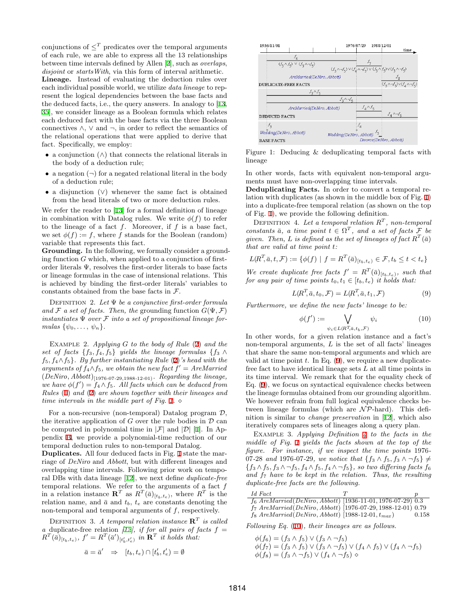conjunctions of  $\leq^T$  predicates over the temporal arguments of each rule, we are able to express all the 13 relationships between time intervals defined by Allen [[2](#page-11-8)], such as *overlaps*, *disjoint* or *startsWith*, via this form of interval arithmetic. **Lineage.** Instead of evaluating the deduction rules over each individual possible world, we utilize *data lineage* to represent the logical dependencies between the base facts and the deduced facts, i.e., the query answers. In analogy to [[13](#page-11-32), [35](#page-11-5)], we consider lineage as a Boolean formula which relates each deduced fact with the base facts via the three Boolean connectives *∧*, *∨* and *¬*, in order to reflect the semantics of the relational operations that were applied to derive that fact. Specifically, we employ:

- *•* a conjunction (*∧*) that connects the relational literals in the body of a deduction rule;
- *•* a negation (*¬*) for a negated relational literal in the body of a deduction rule;
- *•* a disjunction (*∨*) whenever the same fact is obtained from the head literals of two or more deduction rules.

We refer the reader to [[13\]](#page-11-32) for a formal definition of lineage in combination with Datalog rules. We write  $\phi(f)$  to refer to the lineage of a fact *f*. Moreover, if *f* is a base fact, we set  $\phi(f) := f$ , where *f* stands for the Boolean (random) variable that represents this fact.

**Grounding.** In the following, we formally consider a grounding function *G* which, when applied to a conjunction of firstorder literals  $\Psi$ , resolves the first-order literals to base facts or lineage formulas in the case of intensional relations. This is achieved by binding the first-order literals' variables to constants obtained from the base facts in *F*.

Definition 2. *Let* Ψ *be a conjunctive first-order formula and*  $\mathcal F$  *a set of facts. Then, the grounding function*  $G(\Psi, \mathcal F)$ *instantiates* Ψ *over F into a set of propositional lineage formulas*  $\{\psi_0, \ldots, \psi_n\}$ *.* 

Example 2. *Applying G to the body of Rule* ([2](#page-1-1)) *and the set of facts*  $\{f_3, f_4, f_5\}$  *yields the lineage formulas*  $\{f_3 \wedge f_4, f_5\}$ *f*5*, f*4*∧f*5*}. By further instantiating Rule* ([2](#page-1-1))*'s head with the arguments of*  $f_4 \wedge f_5$ *, we obtain the new fact*  $f' = AreMarried$  $(DeNiro, Abbott)_{[1976-07-29,1988-12-01)}$ *. Regarding the lineage,*  $we have \phi(f') = f_4 \wedge f_5$ . All facts which can be deduced from *Rules* ([1](#page-1-0)) *and* ([2](#page-1-1)) *are shown together with their lineages and time intervals in the middle part of Fig. [1.](#page-4-0)*  $\diamond$ 

For a non-recursive (non-temporal) Datalog program *D*, the iterative application of  $G$  over the rule bodies in  $D$  can be computed in polynomial time in  $|\mathcal{F}|$  and  $|\mathcal{D}|$  [[1\]](#page-11-31). In Appendix [B,](#page-10-1) we provide a polynomial-time reduction of our temporal deduction rules to non-temporal Datalog.

**Duplicates.** All four deduced facts in Fig. [1](#page-4-0) state the marriage of *DeNiro* and *Abbott*, but with different lineages and overlapping time intervals. Following prior work on temporal DBs with data lineage [\[12\]](#page-11-15), we next define *duplicate-free* temporal relations. We refer to the arguments of a fact *f* in a relation instance  $\mathbf{R}^T$  as  $R^T(\bar{a})_{[t_b, t_e)}$ , where  $R^T$  is the relation name, and  $\bar{a}$  and  $t_b$ ,  $t_e$  are constants denoting the non-temporal and temporal arguments of *f*, respectively.

DEFINITION 3. *A temporal relation instance*  $\mathbf{R}^T$  *is called a* duplicate-free relation [[12\]](#page-11-15), if for all pairs of facts  $f =$  $R^T(\bar{a})_{[t_b,t_e)}$ ,  $f' = R^T(\bar{a}')_{[t'_b,t'_e)}$  in  $\mathbf{R}^T$  it holds that:

$$
\bar{a} = \bar{a}' \Rightarrow [t_b, t_e) \cap [t'_b, t'_e) = \emptyset
$$

<span id="page-4-0"></span>

Figure 1: Deducing & deduplicating temporal facts with lineage

In other words, facts with equivalent non-temporal arguments must have non-overlapping time intervals.

**Deduplicating Facts.** In order to convert a temporal relation with duplicates (as shown in the middle box of Fig. [1](#page-4-0)) into a duplicate-free temporal relation (as shown on the top of Fig. [1\)](#page-4-0), we provide the following definition.

DEFINITION 4. Let a temporal relation  $R<sup>T</sup>$ , non-temporal *constants*  $\bar{a}$ , *a time point*  $t \in \Omega^T$ , *and a set of facts*  $\bar{\mathcal{F}}$  *be given.* Then, L is defined as the set of lineages of fact  $R^T(\bar{a})$ *that are valid at time point t:*

$$
L(R^T, \bar{a}, t, \mathcal{F}) := \{ \phi(f) \mid f = R^T(\bar{a})_{[t_b, t_e)} \in \mathcal{F}, t_b \le t < t_e \}
$$

<span id="page-4-4"></span>*We create duplicate free facts*  $f' = R^T(\bar{a})_{[t_b, t_e)}$ *, such that for any pair of time points*  $t_0, t_1 \in [t_b, t_e)$  *it holds that:* 

<span id="page-4-2"></span><span id="page-4-1"></span>
$$
L(R^T, \bar{a}, t_0, \mathcal{F}) = L(R^T, \bar{a}, t_1, \mathcal{F})
$$
\n(9)

*Furthermore, we define the new facts' lineage to be:*

<span id="page-4-6"></span><span id="page-4-3"></span>
$$
\phi(f') := \bigvee_{\psi_i \in L(R^T, \bar{a}, t_b, \mathcal{F})} \psi_i \tag{10}
$$

In other words, for a given relation instance and a fact's non-temporal arguments, *L* is the set of all facts' lineages that share the same non-temporal arguments and which are valid at time point  $t$ . In Eq.  $(9)$  $(9)$  $(9)$ , we require a new duplicatefree fact to have identical lineage sets *L* at all time points in its time interval. We remark that for the equality check of Eq. [\(9\)](#page-4-1), we focus on syntactical equivalence checks between the lineage formulas obtained from our grounding algorithm. We however refrain from full logical equivalence checks between lineage formulas (which are  $N \mathcal{P}$ -hard). This definition is similar to *change preservation* in [\[12](#page-11-15)], which also iteratively compares sets of lineages along a query plan.

Example 3. *Applying Definition [4](#page-4-2) to the facts in the middle of Fig. [1](#page-4-0) yields the facts shown at the top of the figure. For instance, if we inspect the time points* 1976*-* 07-28 *and* 1976-07-29*, we notice that*  $\{f_3 \wedge f_5, f_3 \wedge \neg f_5\}$  ≠ *{f*<sup>3</sup> *∧f*5*, f*<sup>3</sup> *∧ ¬f*5*, f*<sup>4</sup> *∧f*5*, f*<sup>4</sup> *∧ ¬f*5*}, so two differing facts f*<sup>6</sup> *and f*<sup>7</sup> *have to be kept in the relation. Thus, the resulting duplicate-free facts are the following.*

<span id="page-4-5"></span>

| Id Fact                                                                                                                         |       |
|---------------------------------------------------------------------------------------------------------------------------------|-------|
| $f_6$ AreMarried(DeNiro, Abbott) [1936-11-01, 1976-07-29) 0.3                                                                   |       |
| $f_7$ AreMarried(DeNiro, Abbott) [1976-07-29, 1988-12-01) 0.79                                                                  |       |
| $f_8$ AreMarried(DeNiro, Abbott) [1988-12-01, $t_{max}$ ]                                                                       | 0.158 |
| $E \cdot U \cdot \ldots \cdot E \cdot (10) \cdot U \cdot \ldots \cdot U \cdot \ldots \cdot \ldots \cdot L \cdot U \cdot \ldots$ |       |

*Following Eq.* ([10\)](#page-4-3)*, their lineages are as follows.*

$$
\begin{array}{l}\n\phi(f_6) = (f_3 \wedge f_5) \vee (f_3 \wedge \neg f_5) \\
\phi(f_7) = (f_3 \wedge f_5) \vee (f_3 \wedge \neg f_5) \vee (f_4 \wedge f_5) \vee (f_4 \wedge \neg f_5) \\
\phi(f_8) = (f_3 \wedge \neg f_5) \vee (f_4 \wedge \neg f_5) \diamond\n\end{array}
$$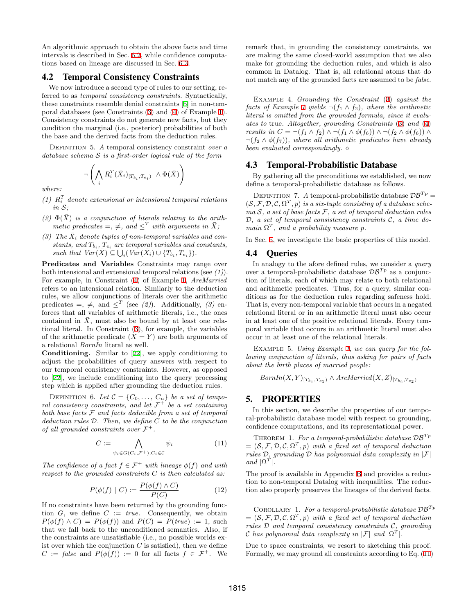An algorithmic approach to obtain the above facts and time intervals is described in Sec. [6.2](#page-6-0), while confidence computations based on lineage are discussed in Sec. [6.3](#page-7-0).

#### 4.2 Temporal Consistency Constraints

We now introduce a second type of rules to our setting, referred to as *temporal consistency constraints*. Syntactically, these constraints resemble denial constraints [\[5](#page-11-18)] in non-temporal databases (see Constraints [\(3](#page-1-3)) and ([4](#page-1-4)) of Example [1\)](#page-1-2). Consistency constraints do not generate new facts, but they condition the marginal (i.e., posterior) probabilities of both the base and the derived facts from the deduction rules.

Definition 5. *A* temporal consistency constraint *over a database schema S is a first-order logical rule of the form*

$$
\neg \left( \bigwedge_i R_i^T(\bar X_i)_{[T_{b_i},T_{e_i})} \ \wedge \Phi(\bar X) \right) \\
$$

*where:*

- $(1)$   $R_i^T$  *denote extensional or intensional temporal relations in S;*
- $(2)$   $\Phi(\bar{X})$  *is a conjunction of literals relating to the arith-* $\text{metric}$  predicates =,  $\neq$ , and  $\leq$ <sup>T</sup> with arguments in  $\bar{X}$ ;
- $(3)$  The  $\bar{X}_i$  denote tuples of non-temporal variables and con*stants, and T<sup>b</sup><sup>i</sup> , T<sup>e</sup><sup>i</sup> are temporal variables and constants,*  $\text{such that } \text{Var}(\bar{X}) \subseteq \bigcup_i (\text{Var}(\bar{X}_i) \cup \{T_{b_i}, T_{e_i}\}).$

**Predicates and Variables** Constraints may range over both intensional and extensional temporal relations (see *(1)*). For example, in Constraint [\(4\)](#page-1-4) of Example [1](#page-1-2), *AreMarried* refers to an intensional relation. Similarly to the deduction rules, we allow conjunctions of literals over the arithmetic predicates =,  $\neq$ , and  $\leq$ <sup>T</sup> (see *(2)*). Additionally, *(3)* enforces that all variables of arithmetic literals, i.e., the ones contained in  $X$ , must also be bound by at least one relational literal. In Constraint ([3](#page-1-3)), for example, the variables of the arithmetic predicate  $(X = Y)$  are both arguments of a relational *BornIn* literal as well.

**Conditioning.** Similar to [\[22\]](#page-11-17), we apply conditioning to adjust the probabilities of query answers with respect to our temporal consistency constraints. However, as opposed to [[22\]](#page-11-17), we include conditioning into the query processing step which is applied after grounding the deduction rules.

DEFINITION 6. Let  $\mathcal{C} = \{C_0, \ldots, C_n\}$  be a set of tempo*ral consistency constraints, and let*  $\mathcal{F}^+$  *be a set containing both base facts F and facts deducible from a set of temporal deduction rules D. Then, we define C to be the conjunction of all grounded constraints over F* +*.*

<span id="page-5-1"></span>
$$
C := \bigwedge_{\psi_i \in G(C_i, \mathcal{F}^+), C_i \in \mathcal{C}} \psi_i \tag{11}
$$

*The confidence of a fact*  $f \in \mathcal{F}^+$  *with lineage*  $\phi(f)$  *and with respect to the grounded constraints C is then calculated as:*

<span id="page-5-5"></span>
$$
P(\phi(f) \mid C) := \frac{P(\phi(f) \land C)}{P(C)} \tag{12}
$$

If no constraints have been returned by the grounding function  $G$ , we define  $C := true$ . Consequently, we obtain  $P(\phi(f) \wedge C) = P(\phi(f))$  and  $P(C) = P(true) := 1$ , such that we fall back to the unconditioned semantics. Also, if the constraints are unsatisfiable (i.e., no possible worlds exist over which the conjunction  $C$  is satisfied), then we define *C* := *false* and  $P(\phi(f)) := 0$  for all facts  $f \in \mathcal{F}^+$ . We remark that, in grounding the consistency constraints, we are making the same closed-world assumption that we also make for grounding the deduction rules, and which is also common in Datalog. That is, all relational atoms that do not match any of the grounded facts are assumed to be *false*.

<span id="page-5-4"></span>Example 4. *Grounding the Constraint* ([3](#page-1-3)) *against the facts of Example* [1](#page-1-2) *yields*  $\neg (f_1 \wedge f_2)$ *, where the arithmetic literal is omitted from the grounded formula, since it evaluates to* true*. Altogether, grounding Constraints* ([3](#page-1-3)) *and* ([4](#page-1-4)) *results in*  $C = \neg(f_1 \land f_2) \land \neg(f_1 \land \phi(f_6)) \land \neg(f_2 \land \phi(f_6)) \land$ *¬*(*f*<sup>2</sup> *∧ ϕ*(*f*7))*, where all arithmetic predicates have already been evaluated correspondingly. ⋄*

# 4.3 Temporal-Probabilistic Database

By gathering all the preconditions we established, we now define a temporal-probabilistic database as follows.

DEFINITION 7. *A* temporal-probabilistic database  $\mathcal{DB}^{Tp}$  $(S, \mathcal{F}, \mathcal{D}, \mathcal{C}, \Omega^T, p)$  *is a six-tuple consisting of a database schema S, a set of base facts F, a set of temporal deduction rules D, a set of temporal consistency constraints C, a time domain*  $\Omega^T$ *, and a probability measure p.* 

In Sec. [5,](#page-5-0) we investigate the basic properties of this model.

# 4.4 Queries

In analogy to the afore defined rules, we consider a *query* over a temporal-probabilistic database  $\mathcal{DB}^{T p}$  as a conjunction of literals, each of which may relate to both relational and arithmetic predicates. Thus, for a query, similar conditions as for the deduction rules regarding safeness hold. That is, every non-temporal variable that occurs in a negated relational literal or in an arithmetic literal must also occur in at least one of the positive relational literals. Every temporal variable that occurs in an arithmetic literal must also occur in at least one of the relational literals.

Example 5. *Using Example [1,](#page-1-2) we can query for the following conjunction of literals, thus asking for pairs of facts about the birth places of married people:*

<span id="page-5-3"></span> $BornIn(X, Y)_{[T_{b_1}, T_{e_1})} \wedge AreMarried(X, Z)_{[T_{b_2}, T_{e_2})}$ 

#### <span id="page-5-2"></span><span id="page-5-0"></span>5. PROPERTIES

In this section, we describe the properties of our temporal-probabilistic database model with respect to grounding, confidence computations, and its representational power.

THEOREM 1. For a temporal-probabilistic database  $\mathcal{DB}^{Tp}$  $=(\mathcal{S}, \mathcal{F}, \mathcal{D}, \mathcal{C}, \Omega^T, p)$  with a fixed set of temporal deduction *rules D, grounding D has polynomial data complexity in |F|*  $and$   $|\Omega^T|$ .

The proof is available in Appendix [B](#page-10-1) and provides a reduction to non-temporal Datalog with inequalities. The reduction also properly preserves the lineages of the derived facts.

Corollary 1. *For a temporal-probabilistic database DBT p*  $=(\mathcal{S}, \mathcal{F}, \mathcal{D}, \mathcal{C}, \Omega^T, p)$  with a fixed set of temporal deduction *rules D and temporal consistency constraints C, grounding C* has polynomial data complexity in  $|\mathcal{F}|$  and  $|\Omega^T|$ .

Due to space constraints, we resort to sketching this proof. Formally, we may ground all constraints according to Eq. ([11](#page-5-1))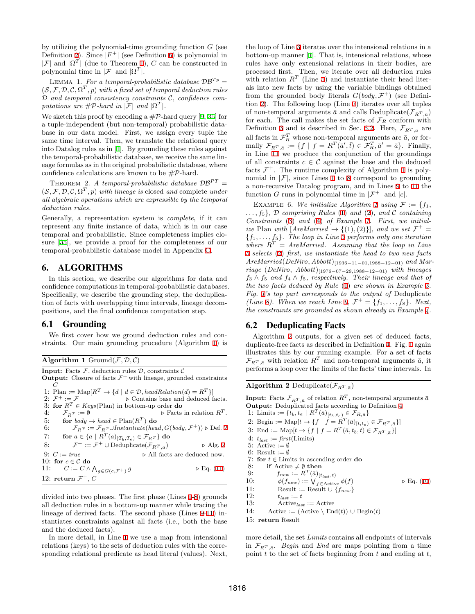by utilizing the polynomial-time grounding function *G* (see Definition [2](#page-4-4)). Since  $|F^+|$  (see Definition [6](#page-5-2)) is polynomial in  $|\mathcal{F}|$  and  $|\Omega^T|$  (due to Theorem [1](#page-5-3)), *C* can be constructed in polynomial time in  $|\mathcal{F}|$  and  $|\Omega^T|$ .

LEMMA 1. For a temporal-probabilistic database  $\mathcal{DB}^{Tp} =$  $(S, \mathcal{F}, \mathcal{D}, \mathcal{C}, \Omega^T, p)$  *with a fixed set of temporal deduction rules D and temporal consistency constraints C, confidence computations are*  $\#\mathcal{P}$ *-hard in*  $|\mathcal{F}|$  *and*  $|\Omega^T|$ *.* 

We sketch this proof by encoding a #*P*-hard query [\[9](#page-11-12), [35](#page-11-5)] for a tuple-independent (but non-temporal) probabilistic database in our data model. First, we assign every tuple the same time interval. Then, we translate the relational query into Datalog rules as in [[1\]](#page-11-31). By grounding these rules against the temporal-probabilistic database, we receive the same lineage formulas as in the original probabilistic database, where confidence calculations are known to be #*P*-hard.

THEOREM 2. *A temporal-probabilistic database*  $\mathcal{DB}^{PT}$  =  $(S, \mathcal{F}, \mathcal{D}, \mathcal{C}, \Omega^T, p)$  *with lineage is* closed *and* complete *under all algebraic operations which are expressible by the temporal deduction rules.*

Generally, a representation system is *complete*, if it can represent any finite instance of data, which is in our case temporal and probabilistic. Since completeness implies closure [\[35](#page-11-5)], we provide a proof for the completeness of our temporal-probabilistic database model in Appendix [C](#page-11-33).

# 6. ALGORITHMS

In this section, we describe our algorithms for data and confidence computations in temporal-probabilistic databases. Specifically, we describe the grounding step, the deduplication of facts with overlapping time intervals, lineage decompositions, and the final confidence computation step.

# 6.1 Grounding

We first cover how we ground deduction rules and constraints. Our main grounding procedure (Algorithm 1) is

**Algorithm 1** Ground( $\mathcal{F}, \mathcal{D}, \mathcal{C}$ )

**Input:** Facts  $F$ , deduction rules  $D$ , constraints  $C$ **Output:** Closure of facts  $\mathcal{F}^+$  with lineage, grounded constraints *C* 1: Plan :=  $\text{Map}[R^T \to \{d \mid d \in \mathcal{D}, \text{headRelation}(d) = R^T\}]$ <br>2:  $\mathcal{F}^+ := \mathcal{F}$   $\triangleright$  Contains base and deduced f 2: *F*<sup>+</sup> := *F ◃* Contains base and deduced facts. 3: **for**  $R^T \in Keys$ (Plan) in bottom-up order **do**<br>4:  $\mathcal{F}_{RT} := \emptyset$  > Facts 4:  $\mathcal{F}_{RT} := \emptyset$   $\triangleright$  Facts in relation  $R^T$ .<br>5: **for** body  $\rightarrow$  head  $\in$  Plan( $R^T$ ) **do**  $\int_{0}^{R} \mathbf{f} \cdot d\mathbf{g} \cdot d\mathbf{g}$  *head*  $\in$  Plan $(R^T)$  do 6:  $\mathcal{F}_R r := \mathcal{F}_R r \cup Instantiate(head, G(body, \mathcal{F}^+)) \triangleright \text{Def. 2}$  $\mathcal{F}_R r := \mathcal{F}_R r \cup Instantiate(head, G(body, \mathcal{F}^+)) \triangleright \text{Def. 2}$  $\mathcal{F}_R r := \mathcal{F}_R r \cup Instantiate(head, G(body, \mathcal{F}^+)) \triangleright \text{Def. 2}$ <br>7: **for**  $\bar{a} \in {\bar{a} \mid R^T(\bar{a})}_{T,T,T} \in \mathcal{F}_{PT}$  **do** 

 $f$ **for**  $\bar{a} \in {\{\bar{a} \mid R^T(\bar{a})_{|T_b,T_e|} \in \mathcal{F}_{R^T}\}}$  do

```
8: \mathcal{F}^+ := \mathcal{F}^+ \cup \text{Deduplicate}(\mathcal{F}_{RT,\bar{a}})\triangleright Alg. 2
```

```
9: C := true \triangleright All facts are deduced now.
10: for c ∈ C do
                                               \sim(11)
```

| 11: $C := C \wedge \bigwedge_{g \in G(c, \mathcal{F}^+)} g$ | $\triangleright$ Eq. (11) |
|-------------------------------------------------------------|---------------------------|
| 12: return $\mathcal{F}^+$ , C                              |                           |

divided into two phases. The first phase (Lines 1-8) grounds all deduction rules in a bottom-up manner while tracing the lineage of derived facts. The second phase (Lines 9-11) instantiates constraints against all facts (i.e., both the base and the deduced facts).

In more detail, in Line 1 we use a map from intensional relations (keys) to the sets of deduction rules with the corresponding relational predicate as head literal (values). Next,

the loop of Line 3 iterates over the intensional relations in a bottom-up manner [[1\]](#page-11-31). That is, intensional relations, whose rules have only extensional relations in their bodies, are processed first. Then, we iterate over all deduction rules with relation  $R<sup>T</sup>$  (Line 5) and instantiate their head literals into new facts by using the variable bindings obtained from the grounded body literals  $G(body, \mathcal{F}^+)$  (see Definition [2\)](#page-4-4). The following loop (Line 7) iterates over all tuples of non-temporal arguments  $\bar{a}$  and calls Deduplicate $(\mathcal{F}_{RT,\bar{a}})$ for each. The call makes the set facts of  $\mathcal{F}_R$  conform with Definition [3](#page-4-5) and is described in Sec. [6.2.](#page-6-0) Here,  $\mathcal{F}_{RT,\bar{a}}$  are all facts in  $\mathcal{F}_R^T$  whose non-temporal arguments are  $\bar{a}$ , or formally  $\mathcal{F}_{R}r_{,\bar{a}} := \{f \mid f = R^T(\bar{a}', \bar{t}) \in \mathcal{F}_R^T, \bar{a}' = \bar{a}\}.$  Finally, in Line 11 we produce the conjunction of the groundings of all constraints  $c \in \mathcal{C}$  against the base and the deduced facts  $\mathcal{F}^+$ . The runtime complexity of Algorithm 1 is polynomial in  $|\mathcal{F}|$ , since Lines 1 to 8 correspond to grounding a non-recursive Datalog program, and in Lines 9 to 11 the function *G* runs in polynomial time in  $|\mathcal{F}^+|$  and  $|c|$ .

EXAMPLE 6. We initialize Algorithm 1 using  $\mathcal{F} := \{f_1, f_2, \ldots, f_n\}$  $\dots, f_5$ ,  $\mathcal{D}$  *comprising Rules* [\(1](#page-1-0)) *and* [\(2\)](#page-1-1)*, and*  $\mathcal{C}$  *containing Constraints* ([3](#page-1-3)) *and* [\(4\)](#page-1-4) *of Example [1](#page-1-2). First, we initialize* Plan *with*  $[AreMarried \rightarrow \{(1), (2)\}]$ *, and we set*  $\mathcal{F}^+$ *{f*1*, . . . , f*5*}. The loop in Line 3 performs only one iteration* where  $R^T = AreMarried.$  Assuming that the loop in Line *5 selects* [\(2\)](#page-1-1) *first, we instantiate the head to two new facts AreMarried*(*DeNiro, Abbott*)[1936*−*11*−*01*,*1988*−*12*−*01) *and Marriage* (*DeNiro, Abbott*)[1976*−*07*−*29*,*1988*−*12*−*01) *with lineages*  $f_3 \wedge f_5$  *and*  $f_4 \wedge f_5$ *, respectively. Their lineage and that of the two facts deduced by Rule* ([1](#page-1-0)) *are shown in Example [3](#page-4-6). Fig. [1](#page-4-0)'s top part corresponds to the output of* Deduplicate *(Line 8). When we reach Line 9,*  $\mathcal{F}^+ = \{f_1, \ldots, f_8\}$ *. Next, the constraints are grounded as shown already in Example [4](#page-5-4).*

# <span id="page-6-0"></span>6.2 Deduplicating Facts

Algorithm 2 outputs, for a given set of deduced facts, duplicate-free facts as described in Definition [4.](#page-4-2) Fig. [1](#page-4-0) again illustrates this by our running example. For a set of facts  $\mathcal{F}_{R}$ <sup>*T*</sup>, *a*<sup> $T$ </sup> and non-temporal arguments  $\bar{a}$ , it performs a loop over the limits of the facts' time intervals. In

**Algorithm 2** Deduplicate( $\mathcal{F}_{RT,\bar{a}}$ )

| <b>Input:</b> Facts $\mathcal{F}_{RT,\bar{a}}$ of relation $R^T$ , non-temporal arguments $\bar{a}$        |                           |
|------------------------------------------------------------------------------------------------------------|---------------------------|
| <b>Output:</b> Deduplicated facts according to Definition 4                                                |                           |
| 1: Limits := $\{t_b, t_e \mid R^T(\bar{a})_{[t_b, t_e)} \in \mathcal{F}_{R, \bar{a}}\}$                    |                           |
| 2: Begin := Map $[t \to \{f \mid f = R^T(\bar{a})_{[t,t_{\varepsilon})} \in \mathcal{F}_{R^T} \bar{a} \}]$ |                           |
| 3: End := Map $[t \to \{f \mid f = R^T(\bar{a}, t_b, t) \in \mathcal{F}_{RT} \}$                           |                           |
| 4: $t_{last} := \text{first}(\text{Limits})$                                                               |                           |
| 5: Active $:= \emptyset$                                                                                   |                           |
| 6: Result $:= \emptyset$                                                                                   |                           |
| 7: for $t \in$ Limits in ascending order do                                                                |                           |
| 8:<br>if Active $\neq \emptyset$ then                                                                      |                           |
| $f_{new} := R^T(\bar{a})_{\vert t_{last},t\rangle}$<br>9:                                                  |                           |
| $\phi(f_{new}) := \bigvee_{f \in \text{Active}} \phi(f)$<br>10:                                            | $\triangleright$ Eq. (10) |
| 11:<br>Result := Result $\cup$ { $f_{new}$ }                                                               |                           |
| 12:<br>$t_{last} := t$                                                                                     |                           |
| 13:<br>$Active_{last} := Active$                                                                           |                           |
| 14:<br>$\text{Active} := (\text{Active} \setminus \text{End}(t)) \cup \text{Begin}(t)$                     |                           |
| 15: return Result                                                                                          |                           |
|                                                                                                            |                           |

more detail, the set *Limits* contains all endpoints of intervals in  $\mathcal{F}_{RT,\bar{a}}$ . *Begin* and *End* are maps pointing from a time point *t* to the set of facts beginning from *t* and ending at *t*,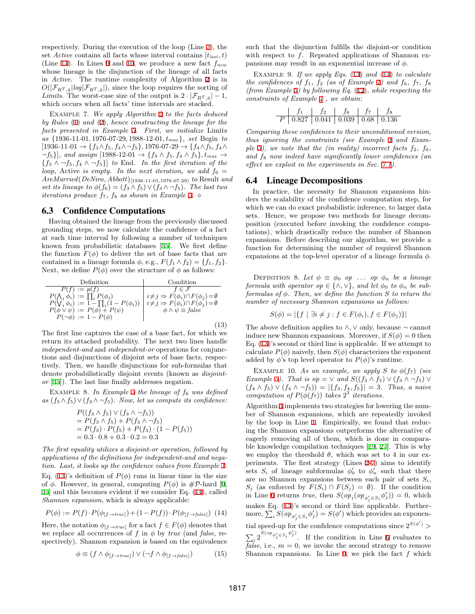respectively. During the execution of the loop (Line 7), the set *Active* contains all facts whose interval contains  $[t_{last}, t]$ (Line 14). In Lines 9 and 10, we produce a new fact *fnew* whose lineage is the disjunction of the lineage of all facts in *Active*. The runtime complexity of Algorithm 2 is in  $O(|\mathcal{F}_{RT,\bar{a}}|log|\mathcal{F}_{RT,\bar{a}}|)$ , since the loop requires the sorting of *Limits*. The worst-case size of the output is  $2 \cdot |\mathcal{F}_{RT,\bar{a}}| - 1$ , which occurs when all facts' time intervals are stacked.

Example 7. *We apply Algorithm 2 to the facts deduced by Rules* [\(1\)](#page-1-0) *and* ([2](#page-1-1))*, hence constructing the lineage for the facts presented in Example [3.](#page-4-6) First, we initialize* Limits *as {*1936*-*11*-*01*,* 1976*-*07*-*29*,* 1988*-*12*-*01*, tmax }, set* Begin *to* [1936*-*11*-*01 *→ {f*3*∧f*5*, f*3*∧¬f*5*},* 1976*-*07*-*29 *→ {f*4*∧f*5*, f*4*∧ ¬f*5*}*]*, and assign* [1988*-*12*-*01 *→ {f*<sup>3</sup> *∧ f*5*, f*<sup>4</sup> *∧ f*5*}, tmax →*  ${f_3 \land \neg f_5, f_4 \land \neg f_5}$  *to* End*. In the first iteration of the loop,* Active *is empty. In the next iteration, we add*  $f_6 =$ *AreMarried*(*DeNiro, Abbott*)[1936*-*11*-*01*,*1976*-*07*-*29) *to* Result *and set its lineage to*  $\phi(f_6) = (f_3 \land f_5) \lor (f_3 \land \neg f_5)$ *. The last two iterations produce f*7*, f*<sup>8</sup> *as shown in Example [3.](#page-4-6) ⋄*

# <span id="page-7-0"></span>6.3 Confidence Computations

Having obtained the lineage from the previously discussed grounding steps, we now calculate the confidence of a fact at each time interval by following a number of techniques known from probabilistic databases [\[35\]](#page-11-5). We first define the function  $F(\phi)$  to deliver the set of base facts that are contained in a lineage formula  $\phi$ , e.g.,  $F(f_1 \wedge f_2) = \{f_1, f_2\}.$ Next, we define  $P(\phi)$  over the structure of  $\phi$  as follows:

<span id="page-7-1"></span>Definition  
\n
$$
P(f) := p(f)
$$
\n
$$
P(\bigwedge_i \phi_i) := \prod_i P(\phi_i)
$$
\n
$$
P(\bigvee_i \phi_i) := 1 - \prod_i (1 - P(\phi_i))
$$
\n
$$
P(\bigvee_i \phi_i) := 1 - \prod_i (1 - P(\phi_i))
$$
\n
$$
P(\phi \lor \psi) := P(\phi) + P(\psi)
$$
\n
$$
P(\neg \phi) := 1 - P(\phi)
$$
\n
$$
(13)
$$

The first line captures the case of a base fact, for which we return its attached probability. The next two lines handle *independent-and* and *independent-or* operations for conjunctions and disjunctions of disjoint sets of base facts, respectively. Then, we handle disjunctions for sub-formulas that denote probabilistically disjoint events (known as *disjointor* [\[35](#page-11-5)]). The last line finally addresses negation.

Example 8. *In Example [3](#page-4-6) the lineage of f*<sup>6</sup> *was defined as* (*f*<sup>3</sup> *∧f*5)*∨*(*f*<sup>3</sup> *∧ ¬f*5)*. Now, let us compute its confidence:*

$$
P((f_3 \land f_5) \lor (f_3 \land \neg f_5))
$$
  
=  $P(f_3 \land f_5) + P(f_3 \land \neg f_5)$   
=  $P(f_3) \cdot P(f_5) + P(f_3) \cdot (1 - P(f_5))$   
= 0.3 \cdot 0.8 + 0.3 \cdot 0.2 = 0.3

*The first equality utilizes a disjoint-or operation, followed by applications of the definitions for independent-and and negation. Last, it looks up the confidence values from Example [1](#page-1-2).* Eq. [\(13\)](#page-7-1)'s definition of  $P(\phi)$  runs in linear time in the size of  $\phi$ . However, in general, computing  $P(\phi)$  is  $\#\mathcal{P}$ -hard [[9](#page-11-12), [35](#page-11-5)] and this becomes evident if we consider Eq. [\(14\)](#page-7-2), called *Shannon expansion*, which is always applicable:

<span id="page-7-2"></span>
$$
P(\phi) := P(f) \cdot P(\phi_{[f \to true]}) + (1 - P(f)) \cdot P(\phi_{[f \to false]}) \tag{14}
$$

Here, the notation  $\phi_{[f \to true]}$  for a fact  $f \in F(\phi)$  denotes that we replace all occurrences of  $f$  in  $\phi$  by *true* (and *false*, respectively). Shannon expansion is based on the equivalence

<span id="page-7-3"></span>
$$
\phi \equiv (f \wedge \phi_{[f \to true]}) \vee (\neg f \wedge \phi_{[f \to false]}) \tag{15}
$$

such that the disjunction fulfills the disjoint-or condition with respect to f. Repeated applications of Shannon expansions may result in an exponential increase of *ϕ*.

Example 9. *If we apply Eqs.* ([13](#page-7-1)) *and* ([14](#page-7-2)) *to calculate the confidences of*  $f_1$  $f_1$ ,  $f_2$  (as of Example 1) and  $f_6$ ,  $f_7$ ,  $f_8$ *(from Example [3\)](#page-4-6) by following Eq.* [\(12\)](#page-5-5)*, while respecting the constraints of Example [4](#page-5-4) , we obtain:*

$$
\begin{array}{c|c|c|c|c|c|c|c|c} & f_1 & f_2 & f_6 & f_7 & f_8 \\ \hline P & 0.827 & 0.041 & 0.039 & 0.68 & 0.136 \\ \end{array}
$$

*Comparing these confidences to their unconditioned version, thus ignoring the constraints (see Example [1](#page-1-2) and Example* [3\)](#page-4-6), we note that the (in reality) incorrect facts  $f_2$ ,  $f_6$ , *and f*<sup>8</sup> *now indeed have significantly lower confidences (an effect we exploit in the experiments in Sec. [7.1](#page-8-0)).*

#### <span id="page-7-5"></span>6.4 Lineage Decompositions

In practice, the necessity for Shannon expansions hinders the scalability of the confidence computation step, for which we can do exact probabilistic inference, to larger data sets. Hence, we propose two methods for lineage decomposition (executed before invoking the confidence computations), which drastically reduce the number of Shannon expansions. Before describing our algorithm, we provide a function for determining the number of required Shannon expansions at the top-level operator of a lineage formula *ϕ*.

DEFINITION 8. Let  $\phi \equiv \phi_0$  *op* ... *op*  $\phi_n$  *be a lineage formula with operator op*  $\in \{\wedge, \vee\}$ *, and let*  $\phi_0$  *to*  $\phi_n$  *be subformulas of*  $\phi$ *. Then, we define the function*  $S$  *to return the number of necessary Shannon expansions as follows:*

<span id="page-7-4"></span>
$$
S(\phi) = |\{f \mid \exists i \neq j : f \in F(\phi_i), f \in F(\phi_j)\}|
$$

The above definition applies to *∧, ∨* only, because *¬* cannot induce new Shannon expansions. Moreover, if  $S(\phi) = 0$  then Eq. [\(13\)](#page-7-1)'s second or third line is applicable. If we attempt to calculate  $P(\phi)$  naively, then  $S(\phi)$  characterizes the exponent added by  $\phi$ 's top level operator to  $P(\phi)$ 's runtime.

EXAMPLE 10. As an example, we apply *S* to  $\phi(f_7)$  (see *Example* [3\)](#page-4-6)*. That is op* =  $\vee$  *and*  $S((f_3 \wedge f_5) \vee (f_3 \wedge \neg f_5) \vee$  $(f_4 \wedge f_5) \vee (f_4 \wedge \neg f_5) = |\{f_3, f_4, f_5\}| = 3$ . Thus, a naive *computation of*  $P(\phi(f_7))$  *takes*  $2^3$  *iterations.* 

Algorithm 3 implements two strategies for lowering the number of Shannon expansions, which are repeatedly invoked by the loop in Line 1. Empirically, we found that reducing the Shannon expansions outperforms the alternative of eagerly removing all of them, which is done in comparable knowledge compilation techniques [[19](#page-11-34), [27](#page-11-35)]. This is why we employ the threshold  $\theta$ , which was set to 4 in our experiments. The first strategy (Lines 2-7) aims to identify sets  $S_i$  of lineage subformulas  $\phi'_0$  to  $\phi'_n$  such that there are no Shannon expansions between each pair of sets *Si*, *S*<sup>*j*</sup> (as enforced by  $F(S_i) ∩ F(S_j) = ∅$ ). If the condition in Line 6 returns *true*, then  $S(op_i(op_{\phi'_j \in S_i} \phi'_j)) = 0$ , which makes Eq. [\(13](#page-7-1))'s second or third line applicable. Furthermore,  $\sum_i S(op_{\phi'_j \in S_i} \phi'_j) = S(\phi')$  which provides an exponential speed-up for the confidence computations since  $2^{S(\phi')}$  >  $\sum_{i} 2^{S(op_{\phi'_j} \in S_i \phi'_j)}$ . If the condition in Line 6 evaluates to *false*, i.e.,  $m = 0$ , we invoke the second strategy to remove Shannon expansions. In Line 9, we pick the fact *f* which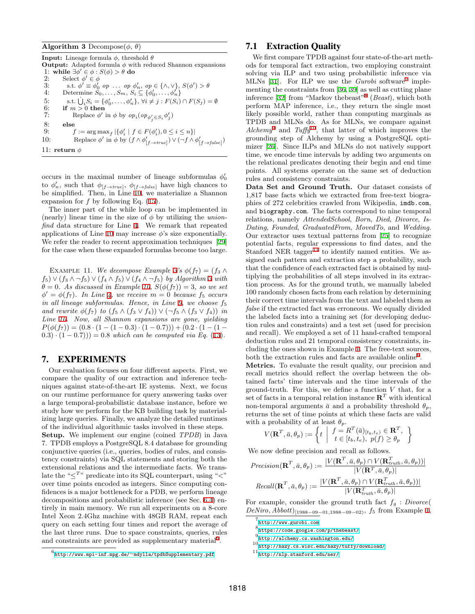**Algorithm 3** Decompose( $\phi$ ,  $\theta$ )

**Input:** Lineage formula *ϕ*, threshold *θ* **Output:** Adapted formula  $\phi$  with reduced Shannon expansions 1: **while** *∃ϕ ′ ∈ ϕ* : *S*(*ϕ*) *> θ* **do** 2: Select  $\phi' \in \phi$ 3: s.t.  $\phi' \equiv \phi'_0 \text{ op } \dots \text{ op } \phi'_n, \text{ op } \in \{\wedge, \vee\}, S(\phi') > \theta$ 4: Determine  $\tilde{S}_0, \ldots, S_m, S_i \subseteq {\phi'_0, \ldots, \phi'_n}$ 5: s.t.  $\dot{\bigcup}_i S_i = \{\phi'_0, \dots, \phi'_n\}, \forall i \neq j : F(S_i) \cap F(S_j) = \emptyset$ 6: **if**  $m > 0$  **then**<br>7: Replace  $\phi'$ 7: Replace  $\phi'$  in  $\phi$  by  $op_i(op_{\phi'_j \in S_i} \phi'_j)$ 8: **else** 9:  $f := \arg \max_{f} |\{\phi'_i \mid f \in F(\phi'_i), 0 \le i \le n\}|$ 10: Replace  $\phi'$  in  $\phi$  by  $(f \wedge \phi'_{[f \to true]}) \vee (\neg f \wedge \phi'_{[f \to false]})$ 11: **return** *ϕ*

occurs in the maximal number of lineage subformulas  $\phi'_{0}$ to  $\phi'_n$ , such that  $\phi_{[f \to true]}, \phi_{[f \to false]}$  have high chances to be simplified. Then, in Line 10, we materialize a Shannon expansion for *f* by following Eq. [\(15](#page-7-3)).

The inner part of the while loop can be implemented in (nearly) linear time in the size of  $\phi$  by utilizing the *unionfind* data structure for Line 4. We remark that repeated applications of Line 10 may increase *ϕ*'s size exponentially. We refer the reader to recent approximation techniques [[29](#page-11-36)] for the case when these expanded formulas become too large.

EXAMPLE 11. *We decompose Example*  $3's \phi(f_7) = (f_3 \wedge f_7)$  $3's \phi(f_7) = (f_3 \wedge f_7)$ *f*<sub>5</sub>)  $\vee$  (*f*<sub>3</sub>  $\wedge$  ¬*f*<sub>5</sub>)  $\vee$  (*f*<sub>4</sub>  $\wedge$  *f*<sub>5</sub>) *c*<sub>*f*<sub>4</sub>  $\wedge$  ¬*f*<sub>5</sub>) *by Algorithm 3 with*</sub>  $\theta = 0$ *. As discussed in Example* [10](#page-7-4),  $S(\phi(f_7)) = 3$ *, so we set*  $\phi' = \phi(f_7)$ *. In Line 4, we receive*  $m = 0$  *because*  $f_5$  *occurs in all lineage subformulas. Hence, in Line 9, we choose f*<sup>5</sup> *and rewrite*  $\phi(f_7)$  *to*  $(f_5 \wedge (f_3 \vee f_4)) \vee (\neg f_5 \wedge (f_3 \vee f_4))$  *in Line 10. Now, all Shannon expansions are gone, yielding*  $P(\phi(f_7)) = (0.8 \cdot (1 - (1 - 0.3) \cdot (1 - 0.7))) + (0.2 \cdot (1 - (1 (0.3) \cdot (1 - 0.7)) = 0.8$  *which can be computed via Eq.* ([13](#page-7-1)).

# 7. EXPERIMENTS

Our evaluation focuses on four different aspects. First, we compare the quality of our extraction and inference techniques against state-of-the-art IE systems. Next, we focus on our runtime performance for query answering tasks over a large temporal-probabilistic database instance, before we study how we perform for the KB building task by materializing large queries. Finally, we analyze the detailed runtimes of the individual algorithmic tasks involved in these steps. **Setup.** We implement our engine (coined *TPDB*) in Java 7. TPDB employs a PostgreSQL 8.4 database for grounding conjunctive queries (i.e., queries, bodies of rules, and consistency constraints) via SQL statements and storing both the extensional relations and the intermediate facts. We translate the "*≤ T* " predicate into its SQL counterpart, using "*<*" over time points encoded as integers. Since computing confidences is a major bottleneck for a PDB, we perform lineage decompositions and probabilistic inference (see Sec. [6.4](#page-7-5)) entirely in main memory. We run all experiments on a 8-core Intel Xeon 2.4Ghz machine with 48GB RAM, repeat each query on each setting four times and report the average of the last three runs. Due to space constraints, queries, rules and constraints are provided as supplementary material<sup>6</sup>.

# <span id="page-8-0"></span>7.1 Extraction Quality

We first compare TPDB against four state-of-the-art methods for temporal fact extraction, two employing constraint solving via ILP and two using probabilistic inference via MLNs [\[31\]](#page-11-26). For ILP we use the *Gurobi* software<sup>7</sup> implementing the constraints from [\[36,](#page-11-27) [39\]](#page-11-28) as well as cutting plane inference [[32\]](#page-11-37) from "Markov thebeast"8 (*Beast*), which both perform MAP inference, i.e., they return the single most likely possible world, rather than computing marginals as TPDB and MLNs do. As for MLNs, we compare against  $Alchemy<sup>9</sup>$  and  $Tuffy<sup>10</sup>$ , that latter of which improves the grounding step of Alchemy by using a PostgreSQL optimizer [[26](#page-11-38)]. Since ILPs and MLNs do not natively support time, we encode time intervals by adding two arguments on the relational predicates denoting their begin and end time points. All systems operate on the same set of deduction rules and consistency constraints.

**Data Set and Ground Truth.** Our dataset consists of 1,817 base facts which we extracted from free-text biographies of 272 celebrities crawled from Wikipedia, imdb.com, and biography.com. The facts correspond to nine temporal relations, namely *AttendedSchool*, *Born*, *Died*, *Divorce*, *Is-Dating*, *Founded*, *GraduatedFrom*, *MovedTo*, and *Wedding*. Our extractor uses textual patterns from [[25\]](#page-11-39) to recognize potential facts, regular expressions to find dates, and the Stanford NER tagger<sup>11</sup> to identify named entities. We assigned each pattern and extraction step a probability, such that the confidence of each extracted fact is obtained by multiplying the probabilities of all steps involved in its extraction process. As for the ground truth, we manually labeled 100 randomly chosen facts from each relation by determining their correct time intervals from the text and labeled them as *false* if the extracted fact was erroneous. We equally divided the labeled facts into a training set (for developing deduction rules and constraints) and a test set (used for precision and recall). We employed a set of 11 hand-crafted temporal deduction rules and 21 temporal consistency constraints, including the ones shown in Example [1](#page-1-2). The free-text sources, both the extraction rules and facts are available online<sup>6</sup>.

**Metrics.** To evaluate the result quality, our precision and recall metrics should reflect the overlap between the obtained facts' time intervals and the time intervals of the ground-truth. For this, we define a function *V* that, for a set of facts in a temporal relation instance  $\mathbf{R}^T$  with identical non-temporal arguments  $\bar{a}$  and a probability threshold  $\theta_p$ , returns the set of time points at which these facts are valid with a probability of at least  $\theta_p$ .

$$
V(\mathbf{R}^T, \bar{a}, \theta_p) := \left\{ t \mid \begin{array}{l} f = R^T(\bar{a})_{[t_b, t_e)} \in \mathbf{R}^T, \\ t \in [t_b, t_e), \ p(f) \ge \theta_p \end{array} \right\}
$$

We now define precision and recall as follows.

$$
Precision(\mathbf{R}^T, \bar{a}, \theta_p) := \frac{|V(\mathbf{R}^T, \bar{a}, \theta_p) \cap V(\mathbf{R}_{truth}^T, \bar{a}, \theta_p))|}{|V(\mathbf{R}^T, \bar{a}, \theta_p)|}
$$

$$
Recall(\mathbf{R}^T, \bar{a}, \theta_p) := \frac{|V(\mathbf{R}^T, \bar{a}, \theta_p) \cap V(\mathbf{R}_{truth}^T, \bar{a}, \theta_p))|}{|V(\mathbf{R}_{truth}^T, \bar{a}, \theta_p)|}
$$

For example, consider the ground truth fact *f<sup>g</sup>* : *Divorce*( *DeNiro, Abbott*)[1988*−*09*−*01*,*1988*−*09*−*02), *f*<sup>5</sup> from Example [1](#page-1-2),

<sup>6</sup> http://www.mpi-inf.mpg.de/*∼*[mdylla/tpdbSupplementary.pdf](http://www.mpi-inf.mpg.de/~mdylla/tpdbSupplementary.pdf)

<sup>&</sup>lt;sup>7</sup><http://www.gurobi.com>

 $^8$ <https://code.google.com/p/thebeast/>

 $^9$ <http://alchemy.cs.washington.edu/>

 $^{10}\mathrm{http://hazy.cs.wisc.edu/hazy/tuffy/download/}$  $^{10}\mathrm{http://hazy.cs.wisc.edu/hazy/tuffy/download/}$  $^{10}\mathrm{http://hazy.cs.wisc.edu/hazy/tuffy/download/}$ 

 $^{11}\mathrm{http://nlp.stanford.edu/ner/}$  $^{11}\mathrm{http://nlp.stanford.edu/ner/}$  $^{11}\mathrm{http://nlp.stanford.edu/ner/}$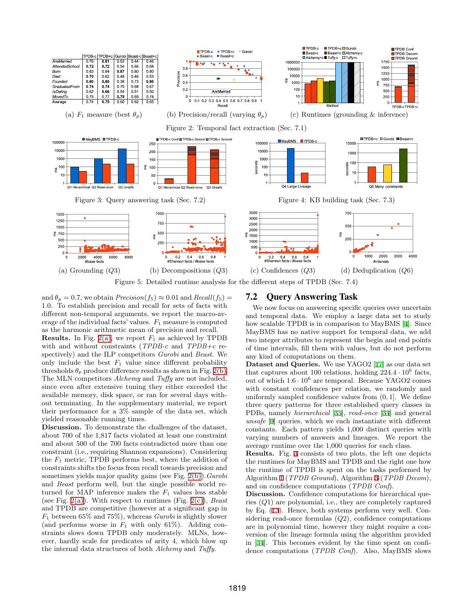<span id="page-9-3"></span><span id="page-9-2"></span><span id="page-9-1"></span><span id="page-9-0"></span>

<span id="page-9-5"></span>Figure 5: Detailed runtime analysis for the different steps of TPDB (Sec. 7.4)

<span id="page-9-4"></span>and  $\theta_p = 0.7$ , we obtain  $Precision(f_5) \approx 0.01$  and  $Recall(f_5) =$ 1*.*0. To establish precision and recall for sets of facts with different non-temporal arguments, we report the macro-average of the individual facts' values. *F*<sup>1</sup> measure is computed as the harmonic arithmetic mean of precision and recall.

**Results.** In Fig. [2\(a\)](#page-9-0), we report  $F_1$  as achieved by TPDB with and without constraints (*TPDB-c* and *TPDB+c* respectively) and the ILP competitors *Gurobi* and *Beast*. We only include the best  $F_1$  value since different probability thresholds  $\theta_p$  produce difference results as shown in Fig. [2\(b\).](#page-9-1) The MLN competitors *Alchemy* and *Tuffy* are not included, since even after extensive tuning they either exceeded the available memory, disk space, or ran for several days without terminating. In the supplementary material, we report their performance for a 3% sample of the data set, which yielded reasonable running times.

**Discussion.** To demonstrate the challenges of the dataset, about 700 of the 1,817 facts violated at least one constraint and about 500 of the 700 facts contradicted more than one constraint (i.e., requiring Shannon expansions). Considering the *F*<sup>1</sup> metric, TPDB performs best, where the addition of constraints shifts the focus from recall towards precision and sometimes yields major quality gains (see Fig. [2\(b\)\)](#page-9-1).*Gurobi* and *Beast* perform well, but the single possible world returned for MAP inference makes the  $F_1$  values less stable (see Fig. [2\(a\)\)](#page-9-0). With respect to runtimes (Fig. [2\(c\)\)](#page-9-2), *Beast* and TPDB are competitive (however at a significant gap in *F*<sup>1</sup> between 65% and 75%), whereas *Gurobi* is slightly slower (and performs worse in  $F_1$  with only 61%). Adding constraints slows down TPDB only moderately. MLNs, however, hardly scale for predicates of arity 4, which blow up the internal data structures of both *Alchemy* and *Tuffy*.

# <span id="page-9-7"></span><span id="page-9-6"></span>7.2 Query Answering Task

We now focus on answering specific queries over uncertain and temporal data. We employ a large data set to study how scalable TPDB is in comparison to MayBMS [\[4\]](#page-11-2). Since MayBMS has no native support for temporal data, we add two integer attributes to represent the begin and end points of time intervals, fill them with values, but do not perform any kind of computations on them.

**Dataset and Queries.** We use YAGO2 [[17](#page-11-0)] as our data set that captures about 100 relations, holding  $224.4 \cdot 10^6$  facts, out of which  $1.6 \cdot 10^6$  are temporal. Because YAGO2 comes with constant confidences per relation, we randomly and uniformly sampled confidence values from (0*,* 1]. We define three query patterns for three established query classes in PDBs, namely *hierarchical* [\[35](#page-11-5)], *read-once* [\[34\]](#page-11-14) and general *unsafe* [\[9](#page-11-12)] queries, which we each instantiate with different constants. Each pattern yields 1,000 distinct queries with varying numbers of answers and lineages. We report the average runtime over the 1,000 queries for each class.

**Results.** Fig. [3](#page-9-3) consists of two plots, the left one depicts the runtimes for MayBMS and TPDB and the right one how the runtime of TPDB is spent on the tasks performed by Algorithm 1 (*TPDB Ground*), Algorithm 3 (*TPDB Decom*), and on confidence computations (*TPDB Conf*).

**Discussion.** Confidence computations for hierarchical queries (*Q*1) are polynomial, i.e., they are completely captured by Eq. ([13\)](#page-7-1). Hence, both systems perform very well. Considering read-once formulas (*Q*2), confidence computations are in polynomial time, however they might require a conversion of the lineage formula using the algorithm provided in [[34](#page-11-14)]. This becomes evident by the time spent on confidence computations (*TPDB Conf*). Also, MayBMS slows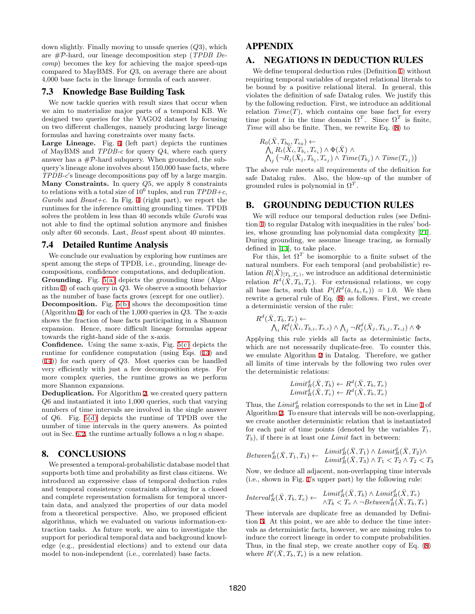down slightly. Finally moving to unsafe queries (*Q*3), which are #*P*-hard, our lineage decomposition step (*TPDB Decomp*) becomes the key for achieving the major speed-ups compared to MayBMS. For *Q*3, on average there are about 4,000 base facts in the lineage formula of each answer.

# 7.3 Knowledge Base Building Task

We now tackle queries with result sizes that occur when we aim to materialize major parts of a temporal KB. We designed two queries for the YAGO2 dataset by focusing on two different challenges, namely producing large lineage formulas and having constraints over many facts.

Large Lineage. Fig. [4](#page-9-3) (left part) depicts the runtimes of MayBMS and *TPDB-c* for query *Q*4, where each query answer has a  $\#\mathcal{P}$ -hard subquery. When grounded, the subquery's lineage alone involves about 150,000 base facts, where *TPDB-c*'s lineage decompositions pay off by a large margin. **Many Constraints.** In query *Q*5, we apply 8 constraints to relations with a total size of  $10^6$  tuples, and run  $TPDB+c$ , *Gurobi* and *Beast+c*. In Fig. [4](#page-9-3) (right part), we report the runtimes for the inference omitting grounding times. TPDB solves the problem in less than 40 seconds while *Gurobi* was not able to find the optimal solution anymore and finishes only after 60 seconds. Last, *Beast* spent about 40 minutes.

# 7.4 Detailed Runtime Analysis

We conclude our evaluation by exploring how runtimes are spent among the steps of TPDB, i.e., grounding, lineage decompositions, confidence computations, and deduplication. **Grounding.** Fig. [5\(a\)](#page-9-4) depicts the grounding time (Algorithm 1) of each query in *Q*3. We observe a smooth behavior as the number of base facts grows (except for one outlier).

**Decomposition.** Fig. [5\(b\)](#page-9-5) shows the decomposition time (Algorithm 3) for each of the 1,000 queries in *Q*3. The x-axis shows the fraction of base facts participating in a Shannon expansion. Hence, more difficult lineage formulas appear towards the right-hand side of the x-axis.

**Confidence.** Using the same x-axis, Fig. [5\(c\)](#page-9-6) depicts the runtime for confidence computation (using Eqs. ([13](#page-7-1)) and [\(14\)](#page-7-2)) for each query of *Q*3. Most queries can be handled very efficiently with just a few decomposition steps. For more complex queries, the runtime grows as we perform more Shannon expansions.

**Deduplication.** For Algorithm 2, we created query pattern *Q*6 and instantiated it into 1,000 queries, such that varying numbers of time intervals are involved in the single answer of *Q*6. Fig. [5\(d\)](#page-9-7) depicts the runtime of TPDB over the number of time intervals in the query answers. As pointed out in Sec. [6.2,](#page-6-0) the runtime actually follows a *n* log *n* shape.

# 8. CONCLUSIONS

We presented a temporal-probabilistic database model that supports both time and probability as first class citizens. We introduced an expressive class of temporal deduction rules and temporal consistency constraints allowing for a closed and complete representation formalism for temporal uncertain data, and analyzed the properties of our data model from a theoretical perspective. Also, we proposed efficient algorithms, which we evaluated on various information-extraction tasks. As future work, we aim to investigate the support for periodical temporal data and background knowledge (e.g., presidential elections) and to extend our data model to non-independent (i.e., correlated) base facts.

# APPENDIX

# <span id="page-10-0"></span>A. NEGATIONS IN DEDUCTION RULES

We define temporal deduction rules (Definition [1\)](#page-3-1) without requiring temporal variables of negated relational literals to be bound by a positive relational literal. In general, this violates the definition of safe Datalog rules. We justify this by the following reduction. First, we introduce an additional relation  $Time(T)$ , which contains one base fact for every time point *t* in the time domain  $\Omega^T$ . Since  $\Omega^T$  is finite, *Time* will also be finite. Then, we rewrite Eq. [\(8\)](#page-3-2) to

$$
R_0(\bar{X}, T_{b_0}, T_{e_0}) \leftarrow \newline \bigwedge_i R_i(\bar{X}_i, T_{b_i}, T_{e_i}) \land \Phi(\bar{X}) \land \newline \bigwedge_j (\neg R_j(\bar{X}_j, T_{b_j}, T_{e_j}) \land Time(T_{b_j}) \land Time(T_{e_j}))
$$

The above rule meets all requirements of the definition for safe Datalog rules. Also, the blow-up of the number of grounded rules is polynomial in  $\Omega^T$ .

# <span id="page-10-1"></span>B. GROUNDING DEDUCTION RULES

We will reduce our temporal deduction rules (see Definition [1\)](#page-3-1) to regular Datalog with inequalities in the rules' bodies, whose grounding has polynomial data complexity [[21\]](#page-11-40). During grounding, we assume lineage tracing, as formally defined in [[13](#page-11-32)], to take place.

For this, let  $\Omega^T$  be isomorphic to a finite subset of the natural numbers. For each temporal (and probabilistic) relation  $R(\bar{X})_{[T_b,T_e)}$ , we introduce an additional deterministic relation  $R^d(\bar{X}, T_b, T_e)$ . For extensional relations, we copy all base facts, such that  $P(R^d(\bar{a}, t_b, t_e)) = 1.0$ . We then rewrite a general rule of Eq. ([8](#page-3-2)) as follows. First, we create a deterministic version of the rule:

$$
R^d(\bar{X},T_b,T_e) \leftarrow \textcolor{red}{\bigwedge_i R_i^d(\bar{X}_i,T_{b,i},T_{e,i})} \wedge \bigwedge_j \neg R_j^d(\bar{X}_j,T_{b,j},T_{e,j}) \wedge \Phi
$$

Applying this rule yields all facts as deterministic facts, which are not necessarily duplicate-free. To counter this, we emulate Algorithm 2 in Datalog. Therefore, we gather all limits of time intervals by the following two rules over the deterministic relations:

$$
Limit_R^d(\bar{X}, T_b) \leftarrow R^d(\bar{X}, T_b, T_e)
$$
  

$$
Limit_R^d(\bar{X}, T_e) \leftarrow R^d(\bar{X}, T_b, T_e)
$$

Thus, the  $Limit_R^d$  relation corresponds to the set in Line 1 of Algorithm 2. To ensure that intervals will be non-overlapping, we create another deterministic relation that is instantiated for each pair of time points (denoted by the variables *T*1, *T*3), if there is at least one *Limit* fact in between:

$$
Between_R^d(\bar{X}, T_1, T_3) \leftarrow \begin{array}{c} Limit_R^d(\bar{X}, T_1) \wedge Limit_R^d(\bar{X}, T_2) \wedge \\ Limit_R^d(\bar{X}, T_3) \wedge T_1 < T_2 \wedge T_2 < T_3 \end{array}
$$

Now, we deduce all adjacent, non-overlapping time intervals (i.e., shown in Fig. [1'](#page-4-0)s upper part) by the following rule:

$$
Interval_{R}^{d}(\bar{X}, T_b, T_e) \leftarrow \frac{Limit_{R}^{d}(\bar{X}, T_b) \wedge Limit_{R}^{d}(\bar{X}, T_e)}{\wedge T_b < T_e \wedge \neg Between_{R}^{d}(\bar{X}, T_b, T_e)}
$$

These intervals are duplicate free as demanded by Definition [3](#page-4-5). At this point, we are able to deduce the time intervals as deterministic facts, however, we are missing rules to induce the correct lineage in order to compute probabilities. Thus, in the final step, we create another copy of Eq. ([8](#page-3-2)) where  $R'(\bar{X}, T_b, T_e)$  is a new relation.